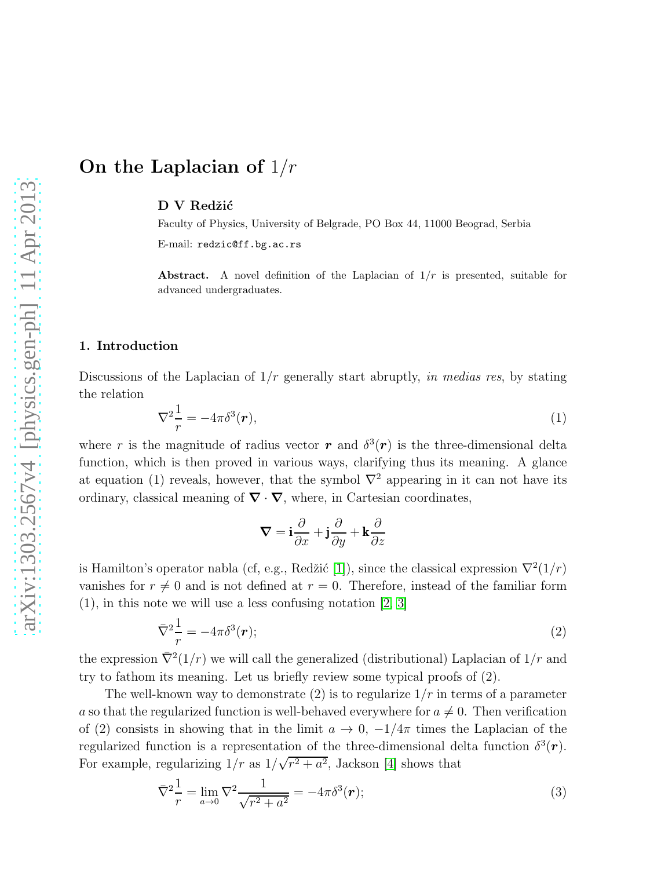# On the Laplacian of  $1/r$

D V Redžić

Faculty of Physics, University of Belgrade, PO Box 44, 11000 Beograd, Serbia E-mail: redzic@ff.bg.ac.rs

Abstract. A novel definition of the Laplacian of  $1/r$  is presented, suitable for advanced undergraduates.

### 1. Introduction

Discussions of the Laplacian of  $1/r$  generally start abruptly, in medias res, by stating the relation

$$
\nabla^2 \frac{1}{r} = -4\pi \delta^3(\boldsymbol{r}),\tag{1}
$$

where r is the magnitude of radius vector r and  $\delta^3(r)$  is the three-dimensional delta function, which is then proved in various ways, clarifying thus its meaning. A glance at equation (1) reveals, however, that the symbol  $\nabla^2$  appearing in it can not have its ordinary, classical meaning of  $\nabla \cdot \nabla$ , where, in Cartesian coordinates,

$$
\boldsymbol{\nabla} = \mathbf{i}\frac{\partial}{\partial x} + \mathbf{j}\frac{\partial}{\partial y} + \mathbf{k}\frac{\partial}{\partial z}
$$

is Hamilton's operator nabla (cf, e.g., Redžić [\[1\]](#page-6-0)), since the classical expression  $\nabla^2(1/r)$ vanishes for  $r \neq 0$  and is not defined at  $r = 0$ . Therefore, instead of the familiar form (1), in this note we will use a less confusing notation [\[2,](#page-6-1) [3\]](#page-6-2)

$$
\bar{\nabla}^2 \frac{1}{r} = -4\pi \delta^3(\mathbf{r});\tag{2}
$$

the expression  $\bar{\nabla}^2(1/r)$  we will call the generalized (distributional) Laplacian of  $1/r$  and try to fathom its meaning. Let us briefly review some typical proofs of (2).

The well-known way to demonstrate  $(2)$  is to regularize  $1/r$  in terms of a parameter a so that the regularized function is well-behaved everywhere for  $a \neq 0$ . Then verification of (2) consists in showing that in the limit  $a \to 0$ ,  $-1/4\pi$  times the Laplacian of the regularized function is a representation of the three-dimensional delta function  $\delta^3(\mathbf{r})$ . For example, regularizing  $1/r$  as  $1/\sqrt{r^2+a^2}$ , Jackson [\[4\]](#page-7-0) shows that

$$
\bar{\nabla}^2 \frac{1}{r} = \lim_{a \to 0} \nabla^2 \frac{1}{\sqrt{r^2 + a^2}} = -4\pi \delta^3(\mathbf{r});\tag{3}
$$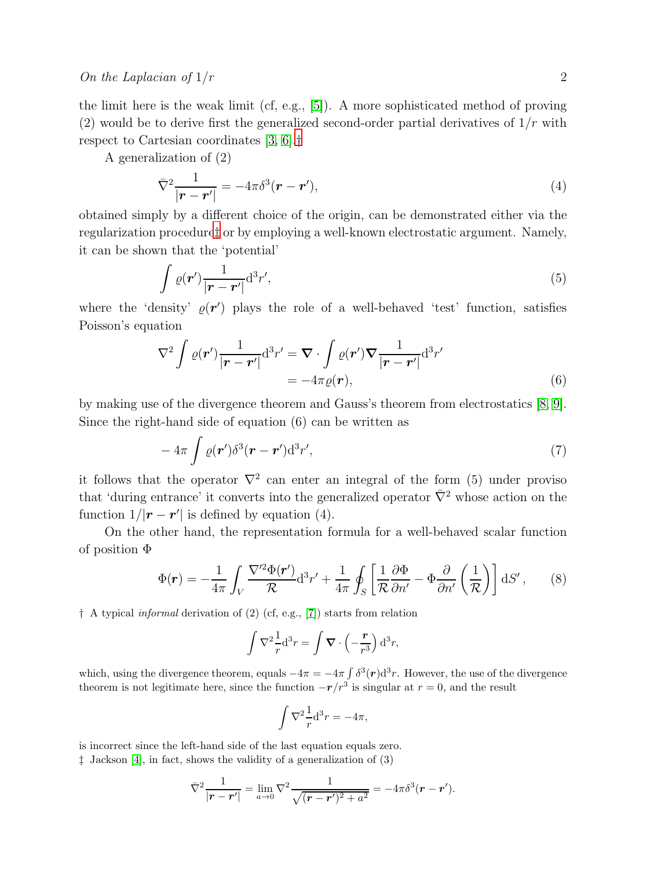the limit here is the weak limit (cf, e.g., [\[5\]](#page-7-1)). A more sophisticated method of proving (2) would be to derive first the generalized second-order partial derivatives of  $1/r$  with respect to Cartesian coordinates [\[3,](#page-6-2) [6\]](#page-7-2).[†](#page-1-0)

A generalization of (2)

$$
\overline{\nabla}^2 \frac{1}{|\boldsymbol{r} - \boldsymbol{r}'|} = -4\pi \delta^3(\boldsymbol{r} - \boldsymbol{r}'),\tag{4}
$$

obtained simply by a different choice of the origin, can be demonstrated either via the regularization procedure[‡](#page-1-1) or by employing a well-known electrostatic argument. Namely, it can be shown that the 'potential'

$$
\int \varrho(\boldsymbol{r}') \frac{1}{|\boldsymbol{r} - \boldsymbol{r}'|} \mathrm{d}^3 r',\tag{5}
$$

where the 'density'  $\varrho(\mathbf{r}')$  plays the role of a well-behaved 'test' function, satisfies Poisson's equation

$$
\nabla^2 \int \varrho(\boldsymbol{r}') \frac{1}{|\boldsymbol{r} - \boldsymbol{r}'|} d^3 r' = \boldsymbol{\nabla} \cdot \int \varrho(\boldsymbol{r}') \boldsymbol{\nabla} \frac{1}{|\boldsymbol{r} - \boldsymbol{r}'|} d^3 r' = -4\pi \varrho(\boldsymbol{r}),
$$
(6)

by making use of the divergence theorem and Gauss's theorem from electrostatics [\[8,](#page-7-3) [9\]](#page-7-4). Since the right-hand side of equation (6) can be written as

$$
-4\pi \int \varrho(\boldsymbol{r}') \delta^3(\boldsymbol{r}-\boldsymbol{r}') d^3 r', \tag{7}
$$

it follows that the operator  $\nabla^2$  can enter an integral of the form (5) under proviso that 'during entrance' it converts into the generalized operator  $\bar{\nabla}^2$  whose action on the function  $1/|\mathbf{r} - \mathbf{r}'|$  is defined by equation (4).

On the other hand, the representation formula for a well-behaved scalar function of position Φ

$$
\Phi(\mathbf{r}) = -\frac{1}{4\pi} \int_{V} \frac{\nabla^{\prime 2} \Phi(\mathbf{r}')}{\mathcal{R}} d^3 r' + \frac{1}{4\pi} \oint_{S} \left[ \frac{1}{\mathcal{R}} \frac{\partial \Phi}{\partial n'} - \Phi \frac{\partial}{\partial n'} \left( \frac{1}{\mathcal{R}} \right) \right] dS', \qquad (8)
$$

<span id="page-1-0"></span>† A typical informal derivation of (2) (cf, e.g., [\[7\]](#page-7-5)) starts from relation

$$
\int \nabla^2 \frac{1}{r} d^3 r = \int \nabla \cdot \left(-\frac{r}{r^3}\right) d^3 r,
$$

which, using the divergence theorem, equals  $-4\pi = -4\pi \int \delta^3(\mathbf{r}) d^3 r$ . However, the use of the divergence theorem is not legitimate here, since the function  $-r/r^3$  is singular at  $r = 0$ , and the result

$$
\int \nabla^2 \frac{1}{r} d^3 r = -4\pi,
$$

is incorrect since the left-hand side of the last equation equals zero.

<span id="page-1-1"></span>‡ Jackson [\[4\]](#page-7-0), in fact, shows the validity of a generalization of (3)

$$
\overline{\nabla}^2 \frac{1}{|\mathbf{r} - \mathbf{r}'|} = \lim_{a \to 0} \nabla^2 \frac{1}{\sqrt{(\mathbf{r} - \mathbf{r}')^2 + a^2}} = -4\pi \delta^3 (\mathbf{r} - \mathbf{r}').
$$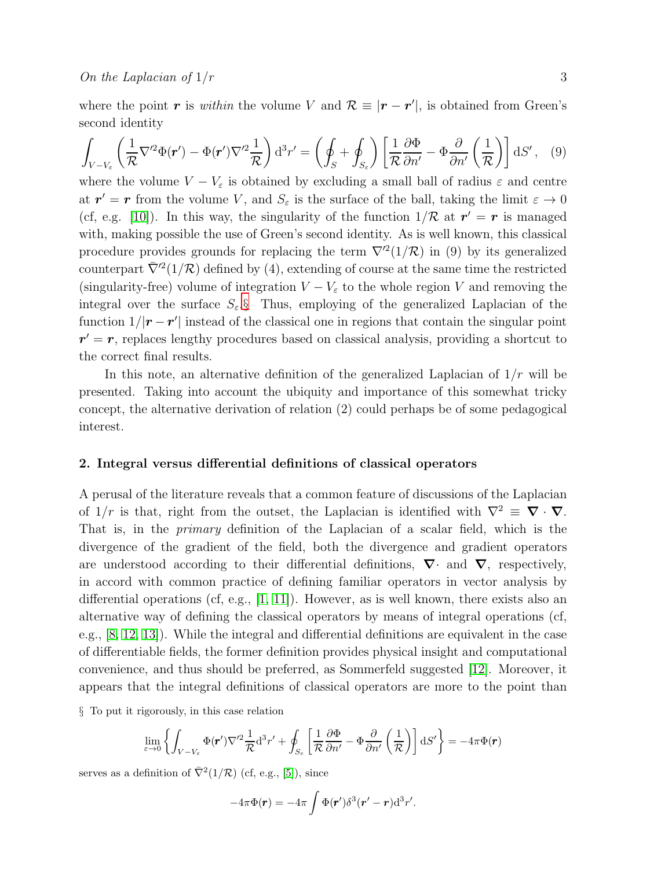$$
\int_{V-V_{\varepsilon}} \left( \frac{1}{\mathcal{R}} \nabla'^2 \Phi(\mathbf{r}') - \Phi(\mathbf{r}') \nabla'^2 \frac{1}{\mathcal{R}} \right) d^3 r' = \left( \oint_S + \oint_{S_{\varepsilon}} \right) \left[ \frac{1}{\mathcal{R}} \frac{\partial \Phi}{\partial n'} - \Phi \frac{\partial}{\partial n'} \left( \frac{1}{\mathcal{R}} \right) \right] dS', \quad (9)
$$

where the volume  $V - V_{\varepsilon}$  is obtained by excluding a small ball of radius  $\varepsilon$  and centre at  $r' = r$  from the volume V, and  $S_{\varepsilon}$  is the surface of the ball, taking the limit  $\varepsilon \to 0$ (cf, e.g. [\[10\]](#page-7-6)). In this way, the singularity of the function  $1/R$  at  $r' = r$  is managed with, making possible the use of Green's second identity. As is well known, this classical procedure provides grounds for replacing the term  $\nabla^2(1/\mathcal{R})$  in (9) by its generalized counterpart  $\bar{\nabla}'^2(1/\mathcal{R})$  defined by (4), extending of course at the same time the restricted (singularity-free) volume of integration  $V - V_{\varepsilon}$  to the whole region V and removing the integral over the surface  $S_{\varepsilon}$ . Thus, employing of the generalized Laplacian of the function  $1/|\mathbf{r} - \mathbf{r}'|$  instead of the classical one in regions that contain the singular point  $r' = r$ , replaces lengthy procedures based on classical analysis, providing a shortcut to the correct final results.

In this note, an alternative definition of the generalized Laplacian of  $1/r$  will be presented. Taking into account the ubiquity and importance of this somewhat tricky concept, the alternative derivation of relation (2) could perhaps be of some pedagogical interest.

#### 2. Integral versus differential definitions of classical operators

A perusal of the literature reveals that a common feature of discussions of the Laplacian of  $1/r$  is that, right from the outset, the Laplacian is identified with  $\nabla^2 \equiv \nabla \cdot \nabla$ . That is, in the primary definition of the Laplacian of a scalar field, which is the divergence of the gradient of the field, both the divergence and gradient operators are understood according to their differential definitions,  $\nabla$  and  $\nabla$ , respectively, in accord with common practice of defining familiar operators in vector analysis by differential operations (cf, e.g.,  $[1, 11]$  $[1, 11]$ ). However, as is well known, there exists also an alternative way of defining the classical operators by means of integral operations (cf, e.g., [\[8,](#page-7-3) [12,](#page-7-8) [13\]](#page-7-9)). While the integral and differential definitions are equivalent in the case of differentiable fields, the former definition provides physical insight and computational convenience, and thus should be preferred, as Sommerfeld suggested [\[12\]](#page-7-8). Moreover, it appears that the integral definitions of classical operators are more to the point than

<span id="page-2-0"></span>§ To put it rigorously, in this case relation

$$
\lim_{\varepsilon \to 0} \left\{ \int_{V-V_{\varepsilon}} \Phi(\mathbf{r}') \nabla'^2 \frac{1}{\mathcal{R}} \mathrm{d}^3 r' + \oint_{S_{\varepsilon}} \left[ \frac{1}{\mathcal{R}} \frac{\partial \Phi}{\partial n'} - \Phi \frac{\partial}{\partial n'} \left( \frac{1}{\mathcal{R}} \right) \right] \mathrm{d}S' \right\} = -4\pi \Phi(\mathbf{r})
$$

serves as a definition of  $\bar{\nabla}^2(1/\mathcal{R})$  (cf, e.g., [\[5\]](#page-7-1)), since

$$
-4\pi\Phi(\mathbf{r})=-4\pi\int\Phi(\mathbf{r}')\delta^3(\mathbf{r}'-\mathbf{r})d^3r'.
$$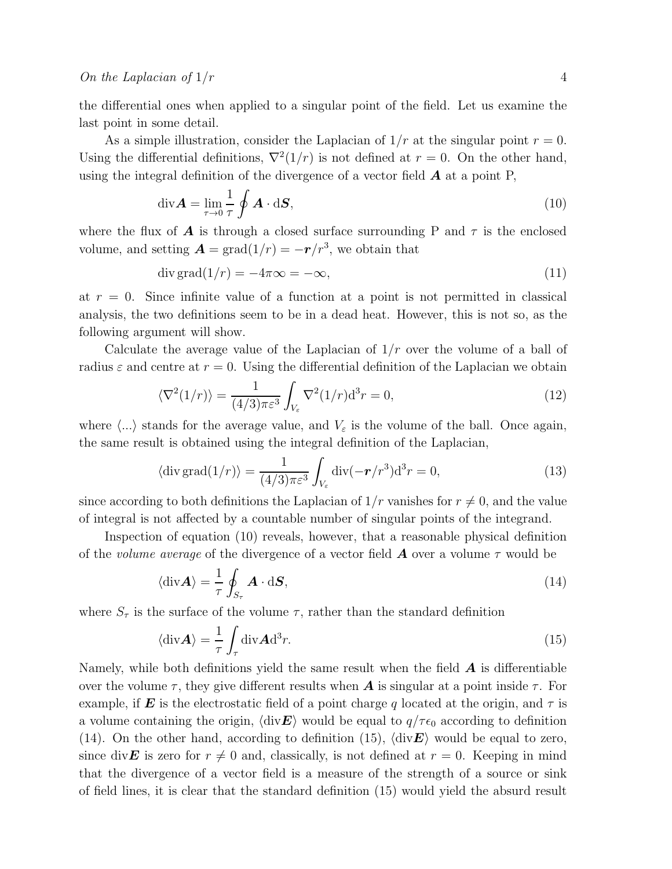the differential ones when applied to a singular point of the field. Let us examine the last point in some detail.

As a simple illustration, consider the Laplacian of  $1/r$  at the singular point  $r = 0$ . Using the differential definitions,  $\nabla^2(1/r)$  is not defined at  $r = 0$ . On the other hand, using the integral definition of the divergence of a vector field  $\boldsymbol{A}$  at a point P,

$$
\operatorname{div} \mathbf{A} = \lim_{\tau \to 0} \frac{1}{\tau} \oint \mathbf{A} \cdot \mathrm{d} \mathbf{S},\tag{10}
$$

where the flux of **A** is through a closed surface surrounding P and  $\tau$  is the enclosed volume, and setting  $\mathbf{A} = \text{grad}(1/r) = -\mathbf{r}/r^3$ , we obtain that

$$
\operatorname{div}\operatorname{grad}(1/r) = -4\pi\infty = -\infty,\tag{11}
$$

at  $r = 0$ . Since infinite value of a function at a point is not permitted in classical analysis, the two definitions seem to be in a dead heat. However, this is not so, as the following argument will show.

Calculate the average value of the Laplacian of  $1/r$  over the volume of a ball of radius  $\varepsilon$  and centre at  $r = 0$ . Using the differential definition of the Laplacian we obtain

$$
\langle \nabla^2 (1/r) \rangle = \frac{1}{(4/3)\pi \varepsilon^3} \int_{V_{\varepsilon}} \nabla^2 (1/r) \mathrm{d}^3 r = 0,\tag{12}
$$

where  $\langle ... \rangle$  stands for the average value, and  $V_{\varepsilon}$  is the volume of the ball. Once again, the same result is obtained using the integral definition of the Laplacian,

$$
\langle \operatorname{div}\operatorname{grad}(1/r) \rangle = \frac{1}{(4/3)\pi\varepsilon^3} \int_{V_{\varepsilon}} \operatorname{div}(-\boldsymbol{r}/r^3) d^3r = 0,\tag{13}
$$

since according to both definitions the Laplacian of  $1/r$  vanishes for  $r \neq 0$ , and the value of integral is not affected by a countable number of singular points of the integrand.

Inspection of equation (10) reveals, however, that a reasonable physical definition of the *volume average* of the divergence of a vector field  $\boldsymbol{A}$  over a volume  $\tau$  would be

$$
\langle \text{div} \mathbf{A} \rangle = \frac{1}{\tau} \oint_{S_{\tau}} \mathbf{A} \cdot \text{d} \mathbf{S},\tag{14}
$$

where  $S_{\tau}$  is the surface of the volume  $\tau$ , rather than the standard definition

$$
\langle \text{div} \mathbf{A} \rangle = \frac{1}{\tau} \int_{\tau} \text{div} \mathbf{A} \text{d}^3 r. \tag{15}
$$

Namely, while both definitions yield the same result when the field  $\boldsymbol{A}$  is differentiable over the volume  $\tau$ , they give different results when **A** is singular at a point inside  $\tau$ . For example, if **E** is the electrostatic field of a point charge q located at the origin, and  $\tau$  is a volume containing the origin,  $\langle \text{div} \mathbf{E} \rangle$  would be equal to  $q/\tau \epsilon_0$  according to definition (14). On the other hand, according to definition (15),  $\langle \text{div} \mathbf{E} \rangle$  would be equal to zero, since div **E** is zero for  $r \neq 0$  and, classically, is not defined at  $r = 0$ . Keeping in mind that the divergence of a vector field is a measure of the strength of a source or sink of field lines, it is clear that the standard definition (15) would yield the absurd result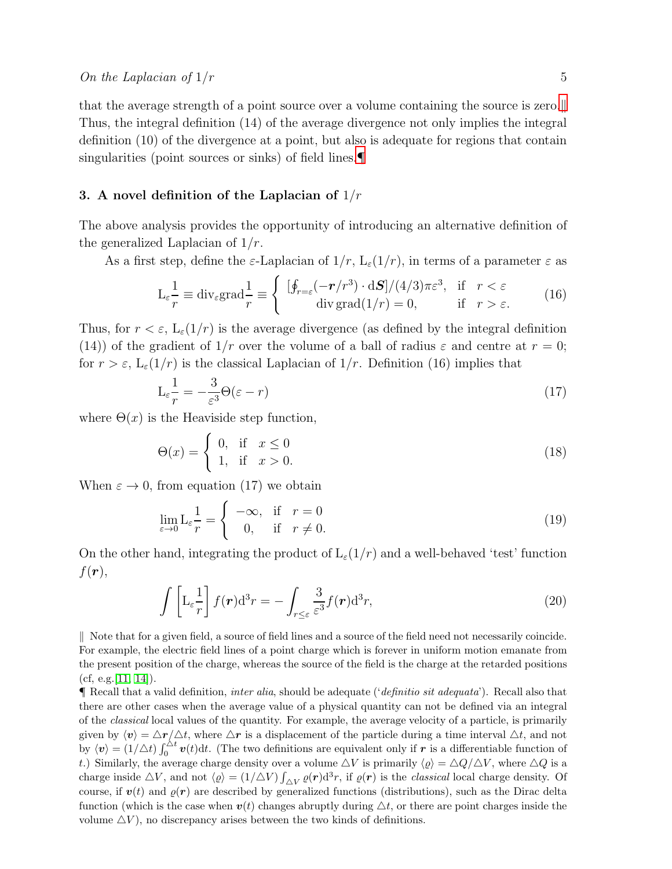that the average strength of a point source over a volume containing the source is zero. Thus, the integral definition (14) of the average divergence not only implies the integral definition (10) of the divergence at a point, but also is adequate for regions that contain singularities (point sources or sinks) of field lines.

## 3. A novel definition of the Laplacian of  $1/r$

The above analysis provides the opportunity of introducing an alternative definition of the generalized Laplacian of  $1/r$ .

As a first step, define the  $\varepsilon$ -Laplacian of  $1/r$ ,  $L_{\varepsilon}(1/r)$ , in terms of a parameter  $\varepsilon$  as

$$
\mathcal{L}_{\varepsilon} \frac{1}{r} \equiv \text{div}_{\varepsilon} \text{grad}_{r} \frac{1}{r} \equiv \begin{cases} [\oint_{r=\varepsilon} (-r/r^3) \cdot d\mathbf{S}] / (4/3)\pi \varepsilon^3, & \text{if } r < \varepsilon \\ \text{div } \text{grad}(1/r) = 0, & \text{if } r > \varepsilon. \end{cases} (16)
$$

Thus, for  $r < \varepsilon$ ,  $L_{\varepsilon}(1/r)$  is the average divergence (as defined by the integral definition (14)) of the gradient of  $1/r$  over the volume of a ball of radius  $\varepsilon$  and centre at  $r = 0$ ; for  $r > \varepsilon$ ,  $L_{\varepsilon}(1/r)$  is the classical Laplacian of  $1/r$ . Definition (16) implies that

$$
L_{\varepsilon} \frac{1}{r} = -\frac{3}{\varepsilon^3} \Theta(\varepsilon - r) \tag{17}
$$

where  $\Theta(x)$  is the Heaviside step function,

$$
\Theta(x) = \begin{cases} 0, & \text{if } x \le 0 \\ 1, & \text{if } x > 0. \end{cases}
$$
 (18)

When  $\varepsilon \to 0$ , from equation (17) we obtain

$$
\lim_{\varepsilon \to 0} \mathcal{L}_{\varepsilon} \frac{1}{r} = \begin{cases} -\infty, & \text{if } r = 0\\ 0, & \text{if } r \neq 0. \end{cases}
$$
 (19)

On the other hand, integrating the product of  $L_{\varepsilon}(1/r)$  and a well-behaved 'test' function  $f(\boldsymbol{r}),$ 

$$
\int \left[ L_{\varepsilon} \frac{1}{r} \right] f(\boldsymbol{r}) d^3 r = - \int_{r \leq \varepsilon} \frac{3}{\varepsilon^3} f(\boldsymbol{r}) d^3 r,\tag{20}
$$

<span id="page-4-0"></span>k Note that for a given field, a source of field lines and a source of the field need not necessarily coincide. For example, the electric field lines of a point charge which is forever in uniform motion emanate from the present position of the charge, whereas the source of the field is the charge at the retarded positions  $(cf, e.g. [11, 14]).$  $(cf, e.g. [11, 14]).$  $(cf, e.g. [11, 14]).$  $(cf, e.g. [11, 14]).$ 

<span id="page-4-1"></span> $\P$  Recall that a valid definition, *inter alia*, should be adequate ('*definitio sit adequata*'). Recall also that there are other cases when the average value of a physical quantity can not be defined via an integral of the classical local values of the quantity. For example, the average velocity of a particle, is primarily given by  $\langle v \rangle = \Delta r / \Delta t$ , where  $\Delta r$  is a displacement of the particle during a time interval  $\Delta t$ , and not by  $\langle v \rangle = (1/\triangle t) \int_0^{\triangle t} v(t) dt$ . (The two definitions are equivalent only if r is a differentiable function of t.) Similarly, the average charge density over a volume  $\Delta V$  is primarily  $\langle \varrho \rangle = \Delta Q/\Delta V$ , where  $\Delta Q$  is a charge inside  $\Delta V$ , and not  $\langle \varrho \rangle = (1/\Delta V) \int_{\Delta V} \varrho(\mathbf{r}) d^3 r$ , if  $\varrho(\mathbf{r})$  is the *classical* local charge density. Of course, if  $v(t)$  and  $\varrho(r)$  are described by generalized functions (distributions), such as the Dirac delta function (which is the case when  $v(t)$  changes abruptly during  $\Delta t$ , or there are point charges inside the volume  $\Delta V$ ), no discrepancy arises between the two kinds of definitions.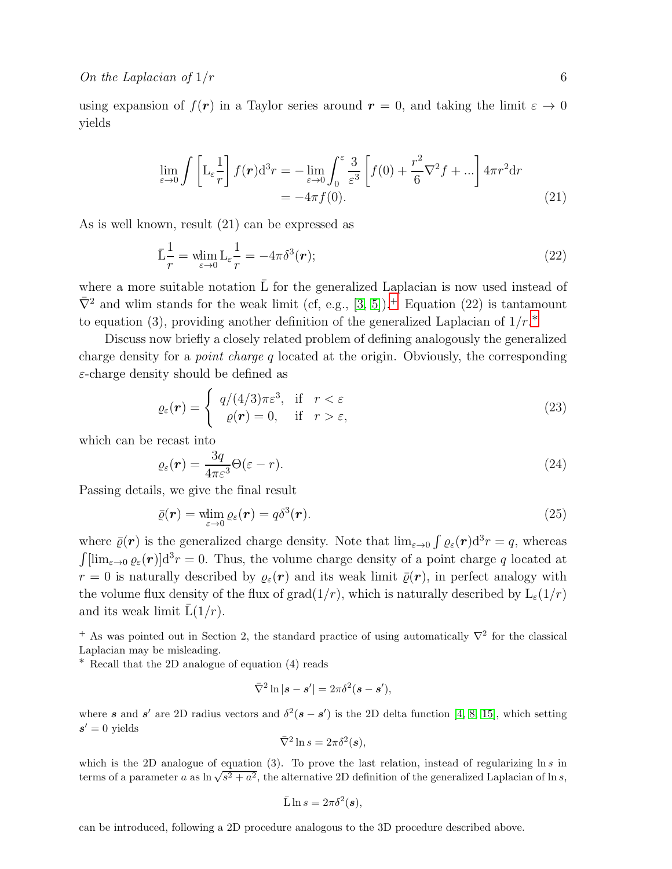using expansion of  $f(\mathbf{r})$  in a Taylor series around  $\mathbf{r} = 0$ , and taking the limit  $\varepsilon \to 0$ yields

$$
\lim_{\varepsilon \to 0} \int \left[ L_{\varepsilon} \frac{1}{r} \right] f(r) d^3 r = - \lim_{\varepsilon \to 0} \int_0^{\varepsilon} \frac{3}{\varepsilon^3} \left[ f(0) + \frac{r^2}{6} \nabla^2 f + \dots \right] 4\pi r^2 dr
$$
\n
$$
= -4\pi f(0). \tag{21}
$$

As is well known, result (21) can be expressed as

$$
\bar{L}\frac{1}{r} = \min_{\varepsilon \to 0} L_{\varepsilon} \frac{1}{r} = -4\pi \delta^3(\mathbf{r});\tag{22}
$$

where a more suitable notation  $\overline{L}$  for the generalized Laplacian is now used instead of  $\bar{\nabla}^2$  and wlim stands for the weak limit (cf, e.g., [\[3,](#page-6-2) [5\]](#page-7-1)).<sup>[+](#page-5-0)</sup> Equation (22) is tantamount to equation (3), providing another definition of the generalized Laplacian of  $1/r.*$ 

Discuss now briefly a closely related problem of defining analogously the generalized charge density for a *point charge q* located at the origin. Obviously, the corresponding  $\varepsilon$ -charge density should be defined as

$$
\varrho_{\varepsilon}(\boldsymbol{r}) = \begin{cases} q/(4/3)\pi\varepsilon^3, & \text{if } r < \varepsilon \\ \varrho(\boldsymbol{r}) = 0, & \text{if } r > \varepsilon, \end{cases}
$$
(23)

which can be recast into

$$
\varrho_{\varepsilon}(r) = \frac{3q}{4\pi\varepsilon^3} \Theta(\varepsilon - r). \tag{24}
$$

Passing details, we give the final result

$$
\bar{\varrho}(\boldsymbol{r}) = \min_{\varepsilon \to 0} \varrho_{\varepsilon}(\boldsymbol{r}) = q\delta^3(\boldsymbol{r}). \tag{25}
$$

where  $\bar{\varrho}(\mathbf{r})$  is the generalized charge density. Note that  $\lim_{\varepsilon \to 0} \int \varrho_{\varepsilon}(\mathbf{r}) d^3 r = q$ , whereas  $\int [\lim_{\varepsilon \to 0} \varrho_{\varepsilon}(r)] \mathrm{d}^{3} r = 0$ . Thus, the volume charge density of a point charge q located at  $r = 0$  is naturally described by  $\varrho_{\varepsilon}(\mathbf{r})$  and its weak limit  $\bar{\varrho}(\mathbf{r})$ , in perfect analogy with the volume flux density of the flux of grad $(1/r)$ , which is naturally described by  $L_{\varepsilon}(1/r)$ and its weak limit  $\bar{L}(1/r)$ .

<span id="page-5-0"></span><sup>+</sup> As was pointed out in Section 2, the standard practice of using automatically  $\nabla^2$  for the classical Laplacian may be misleading.

<span id="page-5-1"></span>∗ Recall that the 2D analogue of equation (4) reads

$$
\bar{\nabla}^2 \ln |s - s'| = 2\pi \delta^2 (s - s'),
$$

where s and s' are 2D radius vectors and  $\delta^2(s - s')$  is the 2D delta function [\[4,](#page-7-0) [8,](#page-7-3) [15\]](#page-7-11), which setting  $s' = 0$  yields

$$
\bar{\nabla}^2 \ln s = 2\pi \delta^2(\boldsymbol{s}),
$$

which is the 2D analogue of equation (3). To prove the last relation, instead of regularizing  $\ln s$  in terms of a parameter a as  $\ln \sqrt{s^2 + a^2}$ , the alternative 2D definition of the generalized Laplacian of ln s,

$$
\bar{\mathcal{L}}\ln s = 2\pi \delta^2(\boldsymbol{s}),
$$

can be introduced, following a 2D procedure analogous to the 3D procedure described above.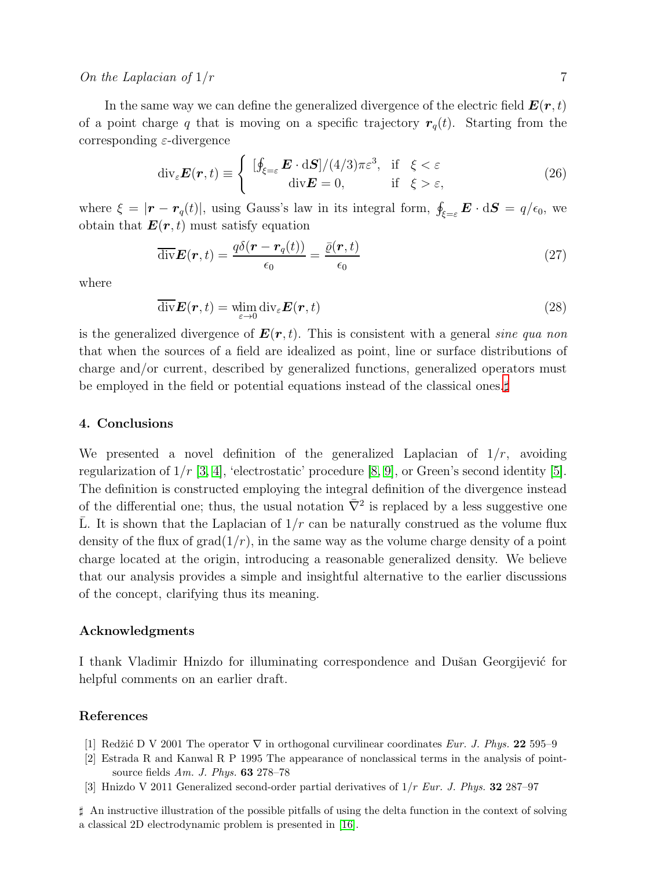#### On the Laplacian of  $1/r$  7

In the same way we can define the generalized divergence of the electric field  $E(r, t)$ of a point charge q that is moving on a specific trajectory  $r_q(t)$ . Starting from the corresponding  $\varepsilon$ -divergence

$$
\operatorname{div}_{\varepsilon} \boldsymbol{E}(\boldsymbol{r}, t) \equiv \begin{cases} [\oint_{\xi=\varepsilon} \boldsymbol{E} \cdot d\boldsymbol{S}]/(4/3)\pi \varepsilon^3, & \text{if } \xi < \varepsilon \\ \operatorname{div} \boldsymbol{E} = 0, & \text{if } \xi > \varepsilon, \end{cases}
$$
(26)

where  $\xi = |\mathbf{r} - \mathbf{r}_q(t)|$ , using Gauss's law in its integral form,  $\oint_{\xi=\varepsilon} \mathbf{E} \cdot d\mathbf{S} = q/\epsilon_0$ , we obtain that  $\mathbf{E}(\mathbf{r},t)$  must satisfy equation

$$
\overline{\text{div}}\boldsymbol{E}(\boldsymbol{r},t) = \frac{q\delta(\boldsymbol{r} - \boldsymbol{r}_q(t))}{\epsilon_0} = \frac{\overline{\varrho}(\boldsymbol{r},t)}{\epsilon_0} \tag{27}
$$

where

$$
\overline{\text{div}}\boldsymbol{E}(\boldsymbol{r},t) = \underset{\varepsilon \to 0}{\text{min}} \operatorname{div}_{\varepsilon} \boldsymbol{E}(\boldsymbol{r},t)
$$
\n(28)

is the generalized divergence of  $E(r, t)$ . This is consistent with a general sine qua non that when the sources of a field are idealized as point, line or surface distributions of charge and/or current, described by generalized functions, generalized operators must be employed in the field or potential equations instead of the classical ones.‡

#### 4. Conclusions

We presented a novel definition of the generalized Laplacian of  $1/r$ , avoiding regularization of  $1/r$  [\[3,](#page-6-2) [4\]](#page-7-0), 'electrostatic' procedure [\[8,](#page-7-3) [9\]](#page-7-4), or Green's second identity [\[5\]](#page-7-1). The definition is constructed employing the integral definition of the divergence instead of the differential one; thus, the usual notation  $\bar{\nabla}^2$  is replaced by a less suggestive one L. It is shown that the Laplacian of  $1/r$  can be naturally construed as the volume flux density of the flux of  $\text{grad}(1/r)$ , in the same way as the volume charge density of a point charge located at the origin, introducing a reasonable generalized density. We believe that our analysis provides a simple and insightful alternative to the earlier discussions of the concept, clarifying thus its meaning.

#### Acknowledgments

I thank Vladimir Hnizdo for illuminating correspondence and Dušan Georgijević for helpful comments on an earlier draft.

#### <span id="page-6-0"></span>References

- <span id="page-6-1"></span>[1] Redžić D V 2001 The operator  $\nabla$  in orthogonal curvilinear coordinates Eur. J. Phys. 22 595–9
- [2] Estrada R and Kanwal R P 1995 The appearance of nonclassical terms in the analysis of pointsource fields Am. J. Phys. 63 278–78
- <span id="page-6-2"></span>[3] Hnizdo V 2011 Generalized second-order partial derivatives of  $1/r$  Eur. J. Phys. 32 287-97

<span id="page-6-3"></span>♯ An instructive illustration of the possible pitfalls of using the delta function in the context of solving a classical 2D electrodynamic problem is presented in [\[16\]](#page-7-12).